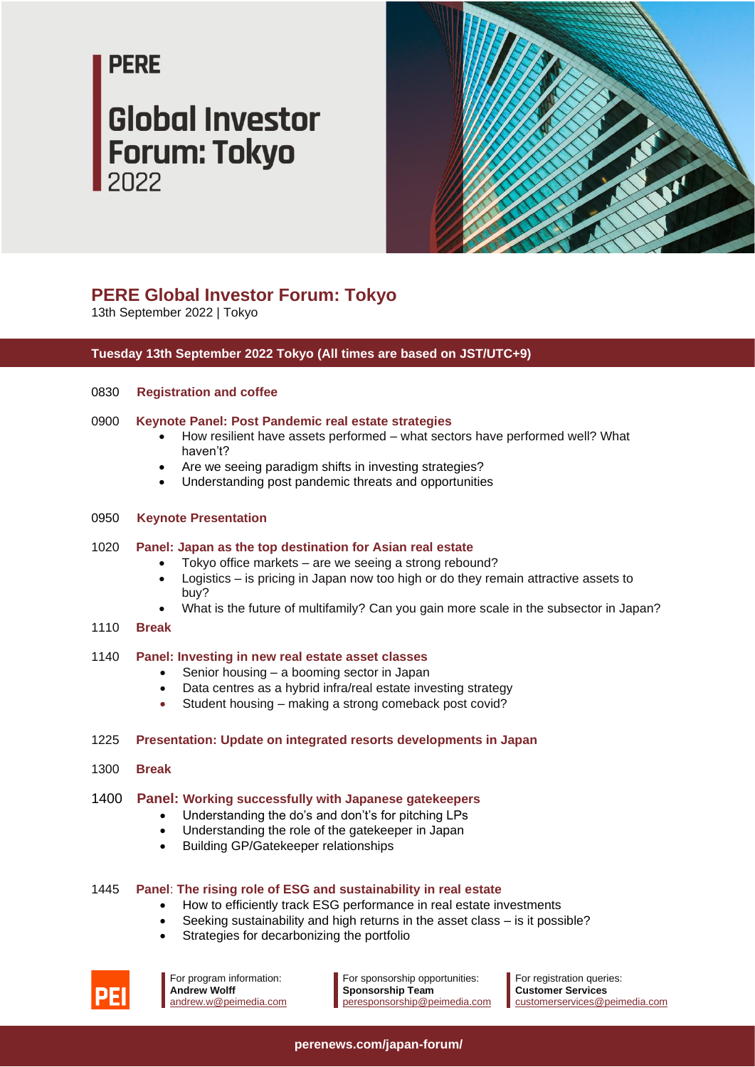## **PERE**

# **Global Investor Forum: Tokyo**



### **PERE Global Investor Forum: Tokyo**

13th September 2022 | Tokyo

#### **Tuesday 13th September 2022 Tokyo (All times are based on JST/UTC+9)**

#### 0830 **Registration and coffee**

#### 0900 **Keynote Panel: Post Pandemic real estate strategies**

- How resilient have assets performed what sectors have performed well? What haven't?
- Are we seeing paradigm shifts in investing strategies?
- Understanding post pandemic threats and opportunities

#### 0950 **Keynote Presentation**

#### 1020 **Panel: Japan as the top destination for Asian real estate**

- Tokyo office markets are we seeing a strong rebound?
- Logistics is pricing in Japan now too high or do they remain attractive assets to buy?
- What is the future of multifamily? Can you gain more scale in the subsector in Japan?
- 1110 **Break**

#### 1140 **Panel: Investing in new real estate asset classes**

- Senior housing a booming sector in Japan
- Data centres as a hybrid infra/real estate investing strategy
- Student housing making a strong comeback post covid?

#### 1225 **Presentation: Update on integrated resorts developments in Japan**

1300 **Break**

#### 1400 **Panel: Working successfully with Japanese gatekeepers**

- Understanding the do's and don't's for pitching LPs
- Understanding the role of the gatekeeper in Japan
- Building GP/Gatekeeper relationships

#### 1445 **Panel**: **The rising role of ESG and sustainability in real estate**

- How to efficiently track ESG performance in real estate investments
- Seeking sustainability and high returns in the asset class is it possible?
	- Strategies for decarbonizing the portfolio



For program information: **Andrew Wolff** [andrew.w@peimedia.com](mailto:andrew.w@peimedia.com)

For sponsorship opportunities: **Sponsorship Team** [peresponsorship@peimedia.com](mailto:peresponsorship@peimedia.com)

For registration queries: **Customer Services** [customerservices@peimedia.com](mailto:customerservices@peimedia.com)